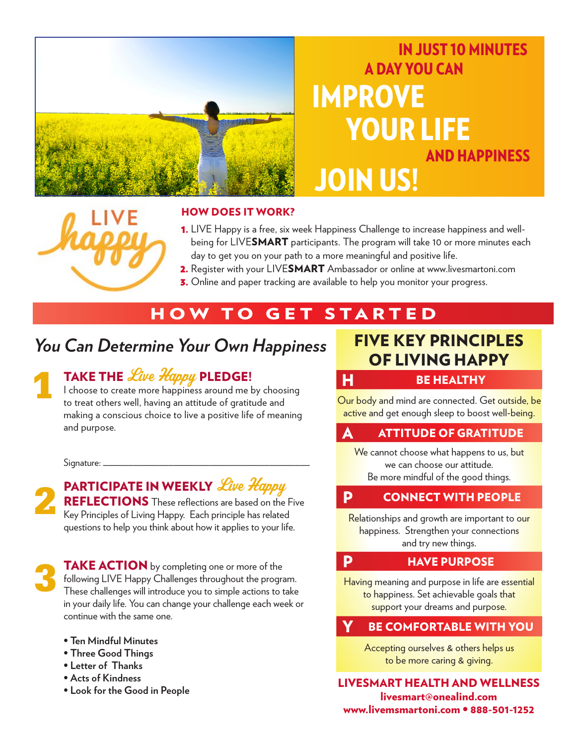

# IN JUST 10 MINUTES A DAY YOU CAN IMPROVE YOUR LIFE AND HAPPINESS JOIN US!

#### HOW DOES IT WORK?

- **1.** LIVE Happy is a free, six week Happiness Challenge to increase happiness and wellbeing for LIVESMART participants. The program will take 10 or more minutes each day to get you on your path to a more meaningful and positive life.
- 2. Register with your LIVESMART Ambassador or online at www.livesmartoni.com
- **3.** Online and paper tracking are available to help you monitor your progress.

### HOW TO GET STARTED

# *You Can Determine Your Own Happiness* FIVE KEY PRINCIPLES

# **1**

### TAKE THE Live Happy PLEDGE!

I choose to create more happiness around me by choosing to treat others well, having an attitude of gratitude and making a conscious choice to live a positive life of meaning and purpose.

Signature: \_



#### PARTICIPATE IN WEEKLY Live Happy

REFLECTIONS These reflections are based on the Five Key Principles of Living Happy. Each principle has related questions to help you think about how it applies to your life.

**3**

**TAKE ACTION** by completing one or more of the following LIVE Happy Challenges throughout the program. These challenges will introduce you to simple actions to take in your daily life. You can change your challenge each week or continue with the same one.

- **Ten Mindful Minutes**
- **Three Good Things**
- **Letter of Thanks**
- **Acts of Kindness**
- **Look for the Good in People**

# OF LIVING HAPPY

#### H BE HEALTHY

Our body and mind are connected. Get outside, be active and get enough sleep to boost well-being.

#### **ATTITUDE OF GRATITUDE**

We cannot choose what happens to us, but we can choose our attitude. Be more mindful of the good things.

#### P CONNECT WITH PEOPLE

Relationships and growth are important to our happiness. Strengthen your connections and try new things.

#### **P** HAVE PURPOSE

Having meaning and purpose in life are essential to happiness. Set achievable goals that support your dreams and purpose.

#### BE COMFORTABLE WITH YOU

Accepting ourselves & others helps us to be more caring & giving.

LIVESMART HEALTH AND WELLNESS livesmart@onealind.com www.livemsmartoni.com • 888-501-1252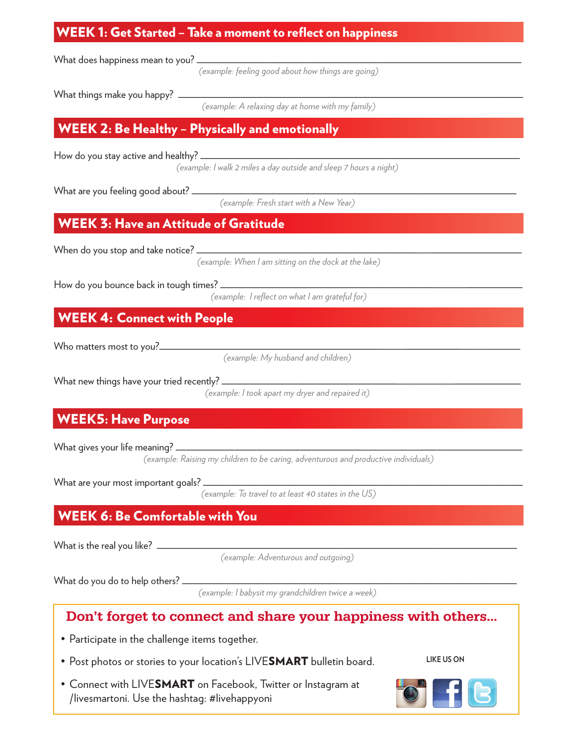#### WEEK 1: Get Started – Take a moment to reflect on happiness

What does happiness mean to you? \_

*(example: feeling good about how things are going)*

What things make you happy?  $\Box$ 

*(example: A relaxing day at home with my family)*

#### WEEK 2: Be Healthy – Physically and emotionally

How do you stay active and healthy?

*(example: I walk 2 miles a day outside and sleep 7 hours a night)*

What are you feeling good about?  $\sqsubseteq$ 

*(example: Fresh start with a New Year)*

#### WEEK 3: Have an Attitude of Gratitude

When do you stop and take notice?

*(example: When I am sitting on the dock at the lake)*

How do you bounce back in tough times?  $\equiv$ 

*(example: I reflect on what I am grateful for)*

#### WEEK 4: Connect with People

Who matters most to you?\_\_\_\_\_\_\_\_\_\_\_\_\_\_\_\_\_\_\_\_\_\_\_\_\_\_\_\_\_\_\_\_\_\_\_\_\_\_\_\_\_\_\_\_\_\_\_\_\_\_\_\_\_\_\_\_\_\_\_\_\_\_\_\_\_\_\_\_\_\_\_\_

*(example: My husband and children)*

What new things have your tried recently? \_

*(example: I took apart my dryer and repaired it)*

#### WEEK5: Have Purpose

What gives your life meaning?

*(example: Raising my children to be caring, adventurous and productive individuals)*

What are your most important goals?

*(example: To travel to at least 40 states in the US)*

#### WEEK 6: Be Comfortable with You

What is the real you like?  $\perp$ 

*(example: Adventurous and outgoing)*

What do you do to help others? \_

*(example: I babysit my grandchildren twice a week)*

#### Don't forget to connect and share your happiness with others…

- Participate in the challenge items together.
- Post photos or stories to your location's LIVESMART bulletin board.

**LIKE US ON**

• Connect with LIVESMART on Facebook, Twitter or Instagram at /livesmartoni. Use the hashtag: #livehappyoni

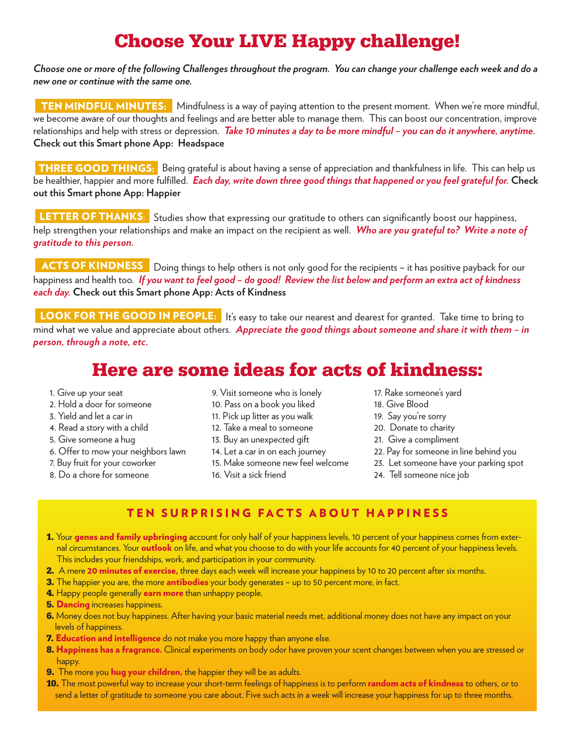## **Choose Your LIVE Happy challenge!**

*Choose one or more of the following Challenges throughout the program. You can change your challenge each week and do a new one or continue with the same one.*

TEN MINDFUL MINUTES: Mindfulness is a way of paying attention to the present moment. When we're more mindful, we become aware of our thoughts and feelings and are better able to manage them. This can boost our concentration, improve relationships and help with stress or depression. *Take 10 minutes a day to be more mindful – you can do it anywhere, anytime.*  **Check out this Smart phone App: Headspace**

THREE GOOD THINGS: Being grateful is about having a sense of appreciation and thankfulness in life. This can help us be healthier, happier and more fulfilled. *Each day, write down three good things that happened or you feel grateful for.* **Check out this Smart phone App: Happier**

LETTER OF THANKS: Studies show that expressing our gratitude to others can significantly boost our happiness, help strengthen your relationships and make an impact on the recipient as well. *Who are you grateful to? Write a note of gratitude to this person.*

ACTS OF KINDNESS Doing things to help others is not only good for the recipients – it has positive payback for our happiness and health too. *If you want to feel good – do good! Review the list below and perform an extra act of kindness each day.* **Check out this Smart phone App: Acts of Kindness**

LOOK FOR THE GOOD IN PEOPLE: It's easy to take our nearest and dearest for granted. Take time to bring to mind what we value and appreciate about others. *Appreciate the good things about someone and share it with them – in person, through a note, etc.*

## **Here are some ideas for acts of kindness:**

- 1. Give up your seat
- 2. Hold a door for someone
- 3. Yield and let a car in
- 4. Read a story with a child
- 5. Give someone a hug
- 6. Offer to mow your neighbors lawn
- 7. Buy fruit for your coworker
- 8. Do a chore for someone
- 9. Visit someone who is lonely
- 10. Pass on a book you liked
- 11. Pick up litter as you walk
- 12. Take a meal to someone
- 13. Buy an unexpected gift
- 14. Let a car in on each journey
- 15. Make someone new feel welcome
- 16. Visit a sick friend
- 17. Rake someone's yard
- 18. Give Blood
- 19. Say you're sorry
- 20. Donate to charity
- 21. Give a compliment
- 22. Pay for someone in line behind you
- 23. Let someone have your parking spot
- 24. Tell someone nice job

#### TEN SURPRISING FACTS ABOUT HAPPINESS

- **1.** Your genes and family upbringing account for only half of your happiness levels, 10 percent of your happiness comes from external circumstances. Your outlook on life, and what you choose to do with your life accounts for 40 percent of your happiness levels. This includes your friendships, work, and participation in your community.
- **2.** A mere 20 minutes of exercise, three days each week will increase your happiness by 10 to 20 percent after six months.
- **3.** The happier you are, the more **antibodies** your body generates up to 50 percent more, in fact.
- **4.** Happy people generally earn more than unhappy people.
- **5. Dancing** increases happiness.
- **6.** Money does not buy happiness. After having your basic material needs met, additional money does not have any impact on your levels of happiness.
- **7. Education and intelligence** do not make you more happy than anyone else.
- **8.** Happiness has a fragrance. Clinical experiments on body odor have proven your scent changes between when you are stressed or happy.
- **9.** The more you **hug your children**, the happier they will be as adults.
- **10.** The most powerful way to increase your short-term feelings of happiness is to perform random acts of kindness to others, or to send a letter of gratitude to someone you care about. Five such acts in a week will increase your happiness for up to three months.